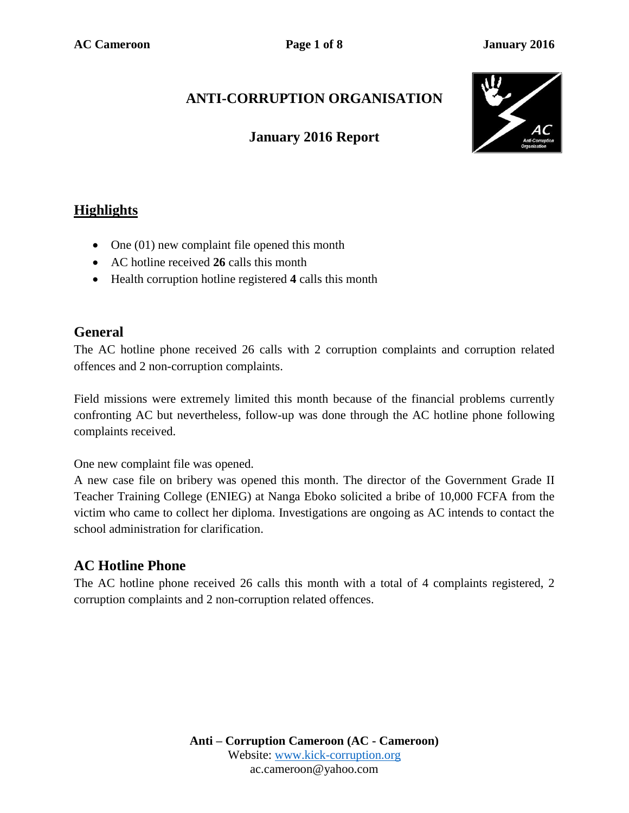# **ANTI-CORRUPTION ORGANISATION**

## **January 2016 Report**



# **Highlights**

- One (01) new complaint file opened this month
- AC hotline received **26** calls this month
- Health corruption hotline registered 4 calls this month

### **General**

The AC hotline phone received 26 calls with 2 corruption complaints and corruption related offences and 2 non-corruption complaints.

Field missions were extremely limited this month because of the financial problems currently confronting AC but nevertheless, follow-up was done through the AC hotline phone following complaints received.

One new complaint file was opened.

A new case file on bribery was opened this month. The director of the Government Grade II Teacher Training College (ENIEG) at Nanga Eboko solicited a bribe of 10,000 FCFA from the victim who came to collect her diploma. Investigations are ongoing as AC intends to contact the school administration for clarification.

## **AC Hotline Phone**

The AC hotline phone received 26 calls this month with a total of 4 complaints registered, 2 corruption complaints and 2 non-corruption related offences.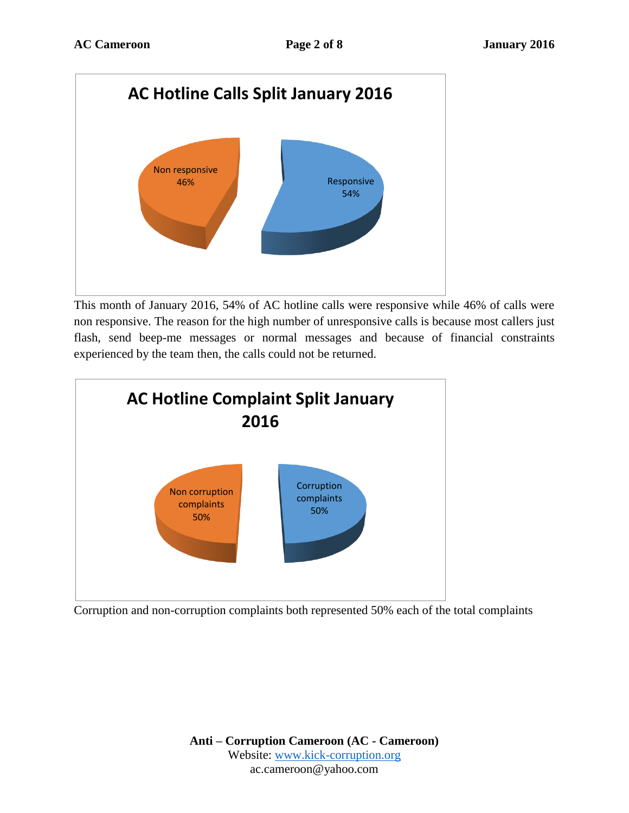

This month of January 2016, 54% of AC hotline calls were responsive while 46% of calls were non responsive. The reason for the high number of unresponsive calls is because most callers just flash, send beep-me messages or normal messages and because of financial constraints experienced by the team then, the calls could not be returned.



Corruption and non-corruption complaints both represented 50% each of the total complaints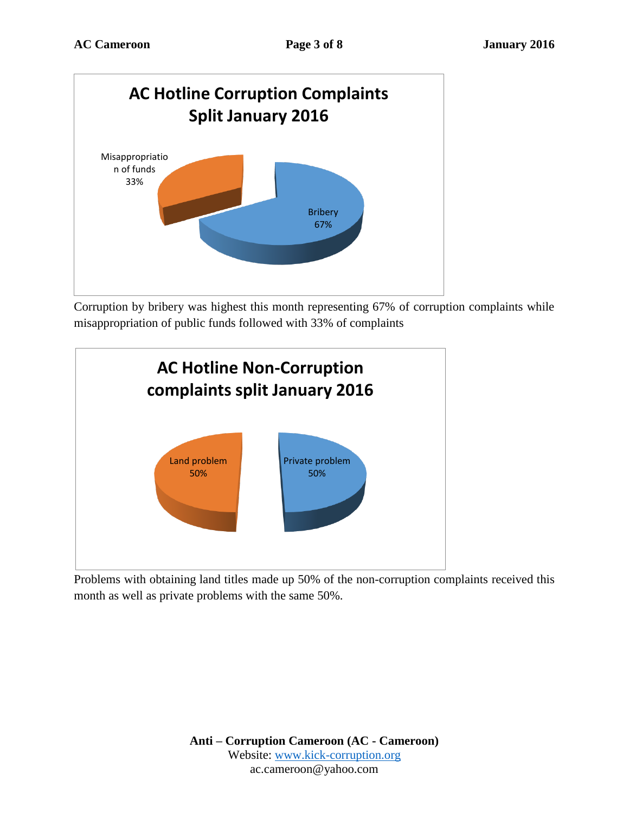

Corruption by bribery was highest this month representing 67% of corruption complaints while misappropriation of public funds followed with 33% of complaints



Problems with obtaining land titles made up 50% of the non-corruption complaints received this month as well as private problems with the same 50%.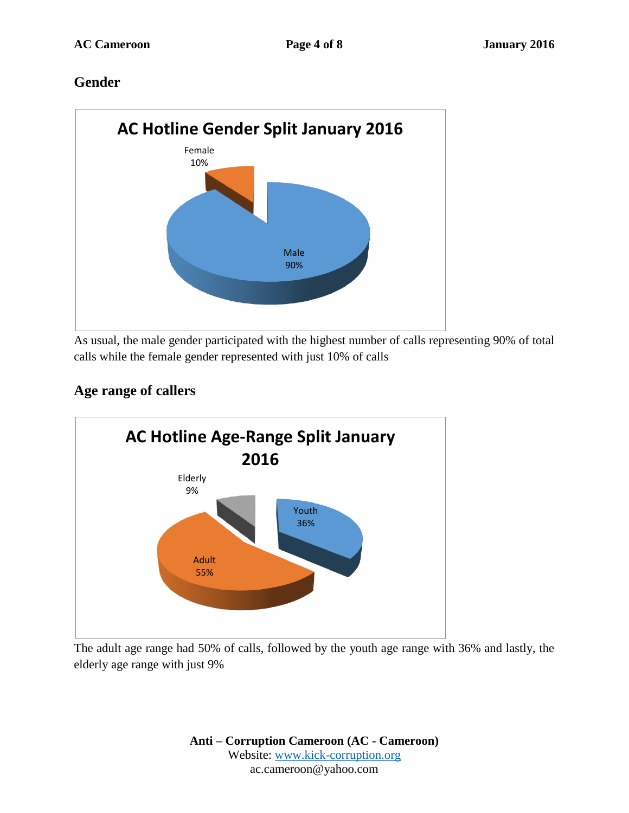## **Gender**



As usual, the male gender participated with the highest number of calls representing 90% of total calls while the female gender represented with just 10% of calls

# **Age range of callers**



The adult age range had 50% of calls, followed by the youth age range with 36% and lastly, the elderly age range with just 9%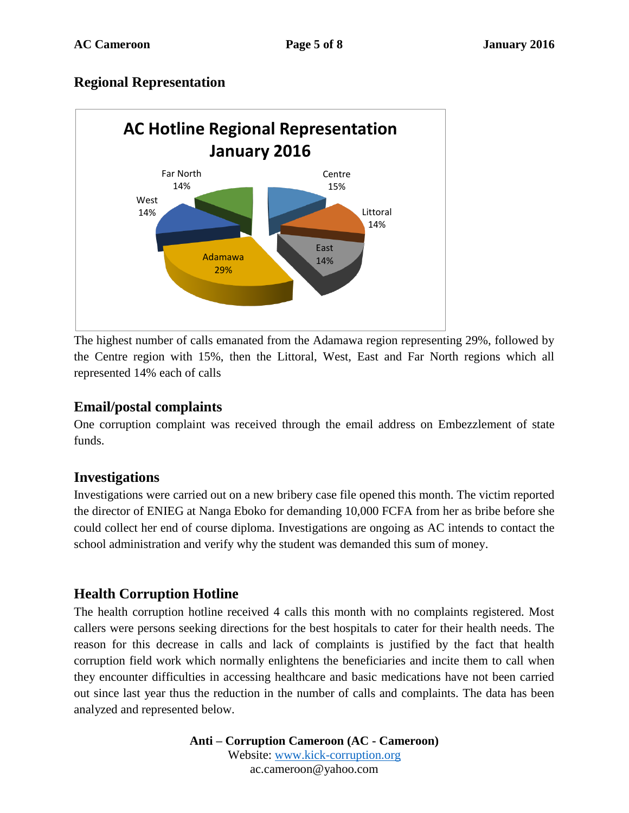#### **Regional Representation**



The highest number of calls emanated from the Adamawa region representing 29%, followed by the Centre region with 15%, then the Littoral, West, East and Far North regions which all represented 14% each of calls

#### **Email/postal complaints**

One corruption complaint was received through the email address on Embezzlement of state funds.

#### **Investigations**

Investigations were carried out on a new bribery case file opened this month. The victim reported the director of ENIEG at Nanga Eboko for demanding 10,000 FCFA from her as bribe before she could collect her end of course diploma. Investigations are ongoing as AC intends to contact the school administration and verify why the student was demanded this sum of money.

## **Health Corruption Hotline**

The health corruption hotline received 4 calls this month with no complaints registered. Most callers were persons seeking directions for the best hospitals to cater for their health needs. The reason for this decrease in calls and lack of complaints is justified by the fact that health corruption field work which normally enlightens the beneficiaries and incite them to call when they encounter difficulties in accessing healthcare and basic medications have not been carried out since last year thus the reduction in the number of calls and complaints. The data has been analyzed and represented below.

> **Anti – Corruption Cameroon (AC - Cameroon)** Website: [www.kick-corruption.org](http://www.kick-corruption.org/) ac.cameroon@yahoo.com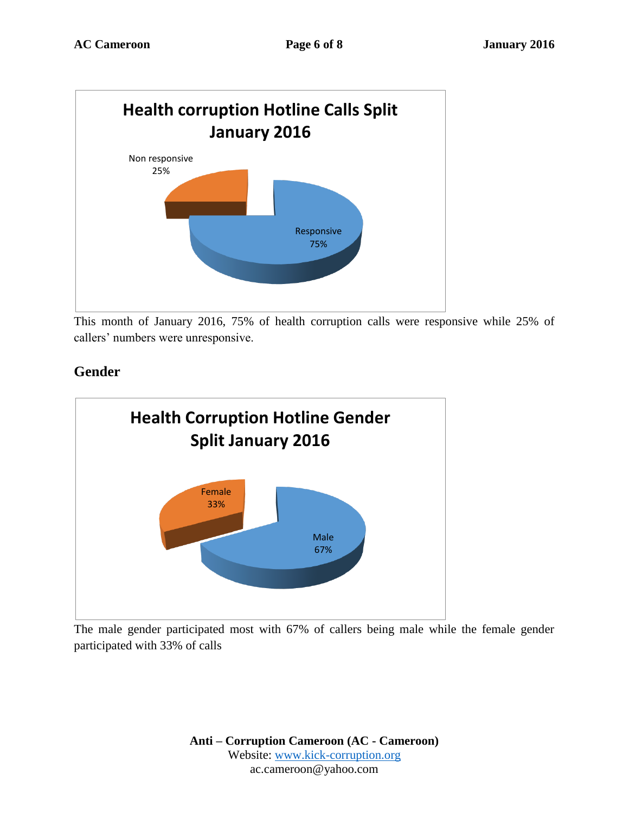

This month of January 2016, 75% of health corruption calls were responsive while 25% of callers' numbers were unresponsive.

# Male 67% Female 33% **Health Corruption Hotline Gender Split January 2016**

**Gender**

The male gender participated most with 67% of callers being male while the female gender participated with 33% of calls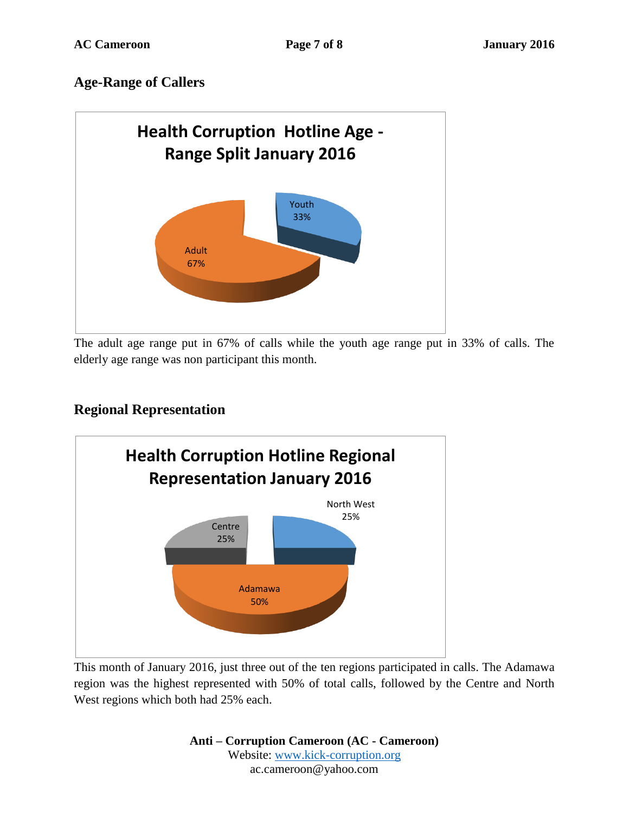# **Age-Range of Callers**



The adult age range put in 67% of calls while the youth age range put in 33% of calls. The elderly age range was non participant this month.

# **Regional Representation**



This month of January 2016, just three out of the ten regions participated in calls. The Adamawa region was the highest represented with 50% of total calls, followed by the Centre and North West regions which both had 25% each.

> **Anti – Corruption Cameroon (AC - Cameroon)** Website: [www.kick-corruption.org](http://www.kick-corruption.org/) ac.cameroon@yahoo.com